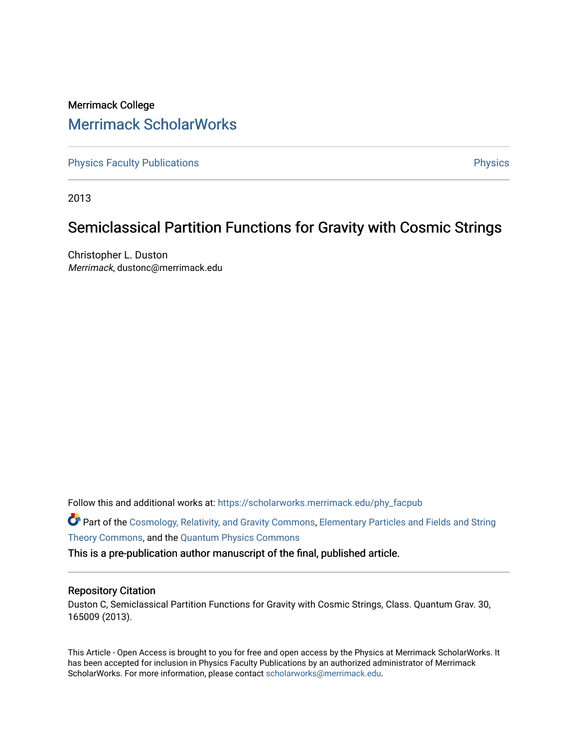# Merrimack College [Merrimack ScholarWorks](https://scholarworks.merrimack.edu/)

[Physics Faculty Publications](https://scholarworks.merrimack.edu/phy_facpub) **Physics** [Physics](https://scholarworks.merrimack.edu/phy) Physics

2013

# Semiclassical Partition Functions for Gravity with Cosmic Strings

Christopher L. Duston Merrimack, dustonc@merrimack.edu

Follow this and additional works at: [https://scholarworks.merrimack.edu/phy\\_facpub](https://scholarworks.merrimack.edu/phy_facpub?utm_source=scholarworks.merrimack.edu%2Fphy_facpub%2F3&utm_medium=PDF&utm_campaign=PDFCoverPages) 

Part of the [Cosmology, Relativity, and Gravity Commons,](http://network.bepress.com/hgg/discipline/129?utm_source=scholarworks.merrimack.edu%2Fphy_facpub%2F3&utm_medium=PDF&utm_campaign=PDFCoverPages) [Elementary Particles and Fields and String](http://network.bepress.com/hgg/discipline/199?utm_source=scholarworks.merrimack.edu%2Fphy_facpub%2F3&utm_medium=PDF&utm_campaign=PDFCoverPages)  [Theory Commons](http://network.bepress.com/hgg/discipline/199?utm_source=scholarworks.merrimack.edu%2Fphy_facpub%2F3&utm_medium=PDF&utm_campaign=PDFCoverPages), and the [Quantum Physics Commons](http://network.bepress.com/hgg/discipline/206?utm_source=scholarworks.merrimack.edu%2Fphy_facpub%2F3&utm_medium=PDF&utm_campaign=PDFCoverPages) 

This is a pre-publication author manuscript of the final, published article.

#### Repository Citation

Duston C, Semiclassical Partition Functions for Gravity with Cosmic Strings, Class. Quantum Grav. 30, 165009 (2013).

This Article - Open Access is brought to you for free and open access by the Physics at Merrimack ScholarWorks. It has been accepted for inclusion in Physics Faculty Publications by an authorized administrator of Merrimack ScholarWorks. For more information, please contact [scholarworks@merrimack.edu.](mailto:scholarworks@merrimack.edu)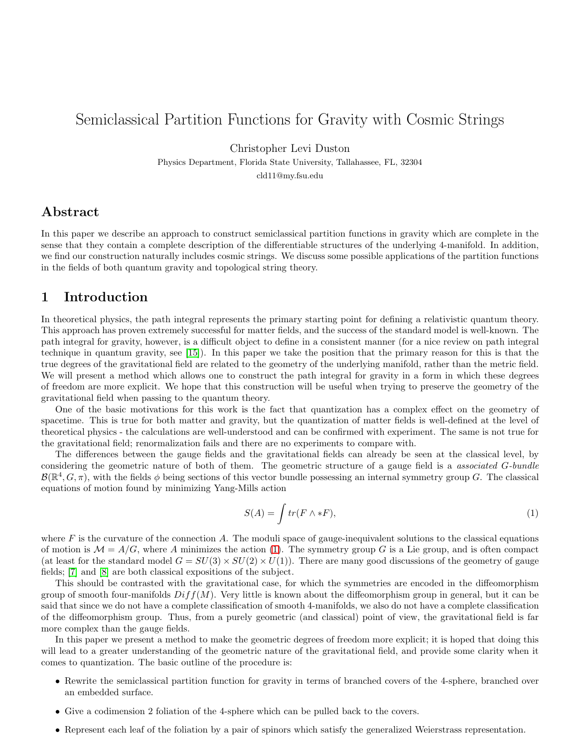## Semiclassical Partition Functions for Gravity with Cosmic Strings

Christopher Levi Duston

Physics Department, Florida State University, Tallahassee, FL, 32304 cld11@my.fsu.edu

## Abstract

In this paper we describe an approach to construct semiclassical partition functions in gravity which are complete in the sense that they contain a complete description of the differentiable structures of the underlying 4-manifold. In addition, we find our construction naturally includes cosmic strings. We discuss some possible applications of the partition functions in the fields of both quantum gravity and topological string theory.

## 1 Introduction

In theoretical physics, the path integral represents the primary starting point for defining a relativistic quantum theory. This approach has proven extremely successful for matter fields, and the success of the standard model is well-known. The path integral for gravity, however, is a difficult object to define in a consistent manner (for a nice review on path integral technique in quantum gravity, see [\[15\]](#page-17-0)). In this paper we take the position that the primary reason for this is that the true degrees of the gravitational field are related to the geometry of the underlying manifold, rather than the metric field. We will present a method which allows one to construct the path integral for gravity in a form in which these degrees of freedom are more explicit. We hope that this construction will be useful when trying to preserve the geometry of the gravitational field when passing to the quantum theory.

One of the basic motivations for this work is the fact that quantization has a complex effect on the geometry of spacetime. This is true for both matter and gravity, but the quantization of matter fields is well-defined at the level of theoretical physics - the calculations are well-understood and can be confirmed with experiment. The same is not true for the gravitational field; renormalization fails and there are no experiments to compare with.

The differences between the gauge fields and the gravitational fields can already be seen at the classical level, by considering the geometric nature of both of them. The geometric structure of a gauge field is a associated G-bundle  $\mathcal{B}(\mathbb{R}^4, G, \pi)$ , with the fields  $\phi$  being sections of this vector bundle possessing an internal symmetry group G. The classical equations of motion found by minimizing Yang-Mills action

<span id="page-1-0"></span>
$$
S(A) = \int tr(F \wedge *F), \tag{1}
$$

where  $F$  is the curvature of the connection A. The moduli space of gauge-inequivalent solutions to the classical equations of motion is  $\mathcal{M} = A/G$ , where A minimizes the action [\(1\)](#page-1-0). The symmetry group G is a Lie group, and is often compact (at least for the standard model  $G = SU(3) \times SU(2) \times U(1)$ ). There are many good discussions of the geometry of gauge fields; [\[7\]](#page-17-1) and [\[8\]](#page-17-2) are both classical expositions of the subject.

This should be contrasted with the gravitational case, for which the symmetries are encoded in the diffeomorphism group of smooth four-manifolds  $Diff(M)$ . Very little is known about the diffeomorphism group in general, but it can be said that since we do not have a complete classification of smooth 4-manifolds, we also do not have a complete classification of the diffeomorphism group. Thus, from a purely geometric (and classical) point of view, the gravitational field is far more complex than the gauge fields.

In this paper we present a method to make the geometric degrees of freedom more explicit; it is hoped that doing this will lead to a greater understanding of the geometric nature of the gravitational field, and provide some clarity when it comes to quantization. The basic outline of the procedure is:

- Rewrite the semiclassical partition function for gravity in terms of branched covers of the 4-sphere, branched over an embedded surface.
- Give a codimension 2 foliation of the 4-sphere which can be pulled back to the covers.
- Represent each leaf of the foliation by a pair of spinors which satisfy the generalized Weierstrass representation.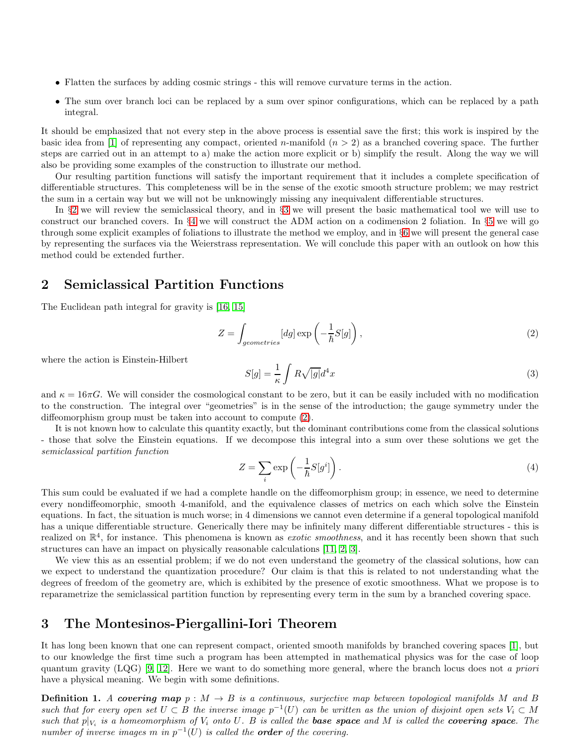- Flatten the surfaces by adding cosmic strings this will remove curvature terms in the action.
- The sum over branch loci can be replaced by a sum over spinor configurations, which can be replaced by a path integral.

It should be emphasized that not every step in the above process is essential save the first; this work is inspired by the basic idea from [\[1\]](#page-16-0) of representing any compact, oriented n-manifold  $(n > 2)$  as a branched covering space. The further steps are carried out in an attempt to a) make the action more explicit or b) simplify the result. Along the way we will also be providing some examples of the construction to illustrate our method.

Our resulting partition functions will satisfy the important requirement that it includes a complete specification of differentiable structures. This completeness will be in the sense of the exotic smooth structure problem; we may restrict the sum in a certain way but we will not be unknowingly missing any inequivalent differentiable structures.

In §[2](#page-2-0) we will review the semiclassical theory, and in §[3](#page-2-1) we will present the basic mathematical tool we will use to construct our branched covers. In §[4](#page-3-0) we will construct the ADM action on a codimension 2 foliation. In §[5](#page-5-0) we will go through some explicit examples of foliations to illustrate the method we employ, and in §[6](#page-10-0) we will present the general case by representing the surfaces via the Weierstrass representation. We will conclude this paper with an outlook on how this method could be extended further.

## <span id="page-2-0"></span>2 Semiclassical Partition Functions

The Euclidean path integral for gravity is [\[16,](#page-17-3) [15\]](#page-17-0)

<span id="page-2-2"></span>
$$
Z = \int_{geometries} [dg] \exp\left(-\frac{1}{\hbar}S[g]\right),\tag{2}
$$

where the action is Einstein-Hilbert

$$
S[g] = \frac{1}{\kappa} \int R\sqrt{|g|} d^4x \tag{3}
$$

and  $\kappa = 16\pi G$ . We will consider the cosmological constant to be zero, but it can be easily included with no modification to the construction. The integral over "geometries" is in the sense of the introduction; the gauge symmetry under the diffeomorphism group must be taken into account to compute [\(2\)](#page-2-2).

It is not known how to calculate this quantity exactly, but the dominant contributions come from the classical solutions - those that solve the Einstein equations. If we decompose this integral into a sum over these solutions we get the semiclassical partition function

<span id="page-2-3"></span>
$$
Z = \sum_{i} \exp\left(-\frac{1}{\hbar}S[g^{i}]\right). \tag{4}
$$

This sum could be evaluated if we had a complete handle on the diffeomorphism group; in essence, we need to determine every nondiffeomorphic, smooth 4-manifold, and the equivalence classes of metrics on each which solve the Einstein equations. In fact, the situation is much worse; in 4 dimensions we cannot even determine if a general topological manifold has a unique differentiable structure. Generically there may be infinitely many different differentiable structures - this is realized on  $\mathbb{R}^4$ , for instance. This phenomena is known as *exotic smoothness*, and it has recently been shown that such structures can have an impact on physically reasonable calculations [\[11,](#page-17-4) [2,](#page-16-1) [3\]](#page-16-2).

We view this as an essential problem; if we do not even understand the geometry of the classical solutions, how can we expect to understand the quantization procedure? Our claim is that this is related to not understanding what the degrees of freedom of the geometry are, which is exhibited by the presence of exotic smoothness. What we propose is to reparametrize the semiclassical partition function by representing every term in the sum by a branched covering space.

## <span id="page-2-1"></span>3 The Montesinos-Piergallini-Iori Theorem

It has long been known that one can represent compact, oriented smooth manifolds by branched covering spaces [\[1\]](#page-16-0), but to our knowledge the first time such a program has been attempted in mathematical physics was for the case of loop quantum gravity  $(LQG)$  [\[9,](#page-17-5) [12\]](#page-17-6). Here we want to do something more general, where the branch locus does not a priori have a physical meaning. We begin with some definitions.

**Definition 1.** A covering map  $p : M \to B$  is a continuous, surjective map between topological manifolds M and B such that for every open set  $U \subset B$  the inverse image  $p^{-1}(U)$  can be written as the union of disjoint open sets  $V_i \subset M$ such that  $p|_{V_i}$  is a homeomorphism of  $V_i$  onto U. B is called the **base space** and M is called the **covering space**. The number of inverse images m in  $p^{-1}(U)$  is called the **order** of the covering.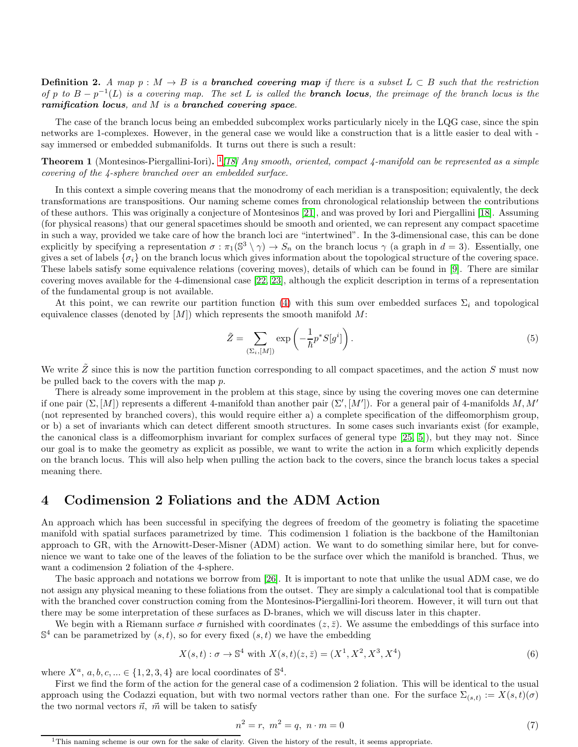**Definition 2.** A map  $p : M \to B$  is a **branched covering map** if there is a subset  $L \subset B$  such that the restriction of p to  $B - p^{-1}(L)$  is a covering map. The set L is called the **branch locus**, the preimage of the branch locus is the ramification locus, and M is a branched covering space.

The case of the branch locus being an embedded subcomplex works particularly nicely in the LQG case, since the spin networks are 1-complexes. However, in the general case we would like a construction that is a little easier to deal with say immersed or embedded submanifolds. It turns out there is such a result:

<span id="page-3-3"></span>**Theorem [1](#page-3-1)** (Montesinos-Piergallini-Iori).  $\frac{1}{18}$  *Any smooth, oriented, compact 4-manifold can be represented as a simple* covering of the 4-sphere branched over an embedded surface.

In this context a simple covering means that the monodromy of each meridian is a transposition; equivalently, the deck transformations are transpositions. Our naming scheme comes from chronological relationship between the contributions of these authors. This was originally a conjecture of Montesinos [\[21\]](#page-17-8), and was proved by Iori and Piergallini [\[18\]](#page-17-7). Assuming (for physical reasons) that our general spacetimes should be smooth and oriented, we can represent any compact spacetime in such a way, provided we take care of how the branch loci are "intertwined". In the 3-dimensional case, this can be done explicitly by specifying a representation  $\sigma : \pi_1(\mathbb{S}^3 \setminus \gamma) \to S_n$  on the branch locus  $\gamma$  (a graph in  $d = 3$ ). Essentially, one gives a set of labels  $\{\sigma_i\}$  on the branch locus which gives information about the topological structure of the covering space. These labels satisfy some equivalence relations (covering moves), details of which can be found in [\[9\]](#page-17-5). There are similar covering moves available for the 4-dimensional case [\[22,](#page-17-9) [23\]](#page-17-10), although the explicit description in terms of a representation of the fundamental group is not available.

At this point, we can rewrite our partition function [\(4\)](#page-2-3) with this sum over embedded surfaces  $\Sigma_i$  and topological equivalence classes (denoted by  $[M]$ ) which represents the smooth manifold M:

<span id="page-3-2"></span>
$$
\tilde{Z} = \sum_{(\Sigma_i, [M])} \exp\left(-\frac{1}{\hbar} p^* S[g^i]\right). \tag{5}
$$

We write  $Z$  since this is now the partition function corresponding to all compact spacetimes, and the action  $S$  must now be pulled back to the covers with the map p.

There is already some improvement in the problem at this stage, since by using the covering moves one can determine if one pair  $(\Sigma, [M])$  represents a different 4-manifold than another pair  $(\Sigma', [M'])$ . For a general pair of 4-manifolds M, M' (not represented by branched covers), this would require either a) a complete specification of the diffeomorphism group, or b) a set of invariants which can detect different smooth structures. In some cases such invariants exist (for example, the canonical class is a diffeomorphism invariant for complex surfaces of general type [\[25,](#page-17-11) [5\]](#page-16-3)), but they may not. Since our goal is to make the geometry as explicit as possible, we want to write the action in a form which explicitly depends on the branch locus. This will also help when pulling the action back to the covers, since the branch locus takes a special meaning there.

### <span id="page-3-0"></span>4 Codimension 2 Foliations and the ADM Action

An approach which has been successful in specifying the degrees of freedom of the geometry is foliating the spacetime manifold with spatial surfaces parametrized by time. This codimension 1 foliation is the backbone of the Hamiltonian approach to GR, with the Arnowitt-Deser-Misner (ADM) action. We want to do something similar here, but for convenience we want to take one of the leaves of the foliation to be the surface over which the manifold is branched. Thus, we want a codimension 2 foliation of the 4-sphere.

The basic approach and notations we borrow from [\[26\]](#page-17-12). It is important to note that unlike the usual ADM case, we do not assign any physical meaning to these foliations from the outset. They are simply a calculational tool that is compatible with the branched cover construction coming from the Montesinos-Piergallini-Iori theorem. However, it will turn out that there may be some interpretation of these surfaces as D-branes, which we will discuss later in this chapter.

We begin with a Riemann surface  $\sigma$  furnished with coordinates  $(z, \bar{z})$ . We assume the embeddings of this surface into  $\mathbb{S}^4$  can be parametrized by  $(s, t)$ , so for every fixed  $(s, t)$  we have the embedding

$$
X(s,t): \sigma \to \mathbb{S}^4 \text{ with } X(s,t)(z,\bar{z}) = (X^1, X^2, X^3, X^4) \tag{6}
$$

where  $X^a$ ,  $a, b, c, \dots \in \{1, 2, 3, 4\}$  are local coordinates of  $\mathbb{S}^4$ .

First we find the form of the action for the general case of a codimension 2 foliation. This will be identical to the usual approach using the Codazzi equation, but with two normal vectors rather than one. For the surface  $\Sigma_{(s,t)} := X(s,t)(\sigma)$ the two normal vectors  $\vec{n}$ ,  $\vec{m}$  will be taken to satisfy

$$
n^2 = r, \ m^2 = q, \ n \cdot m = 0 \tag{7}
$$

<span id="page-3-1"></span><sup>&</sup>lt;sup>1</sup>This naming scheme is our own for the sake of clarity. Given the history of the result, it seems appropriate.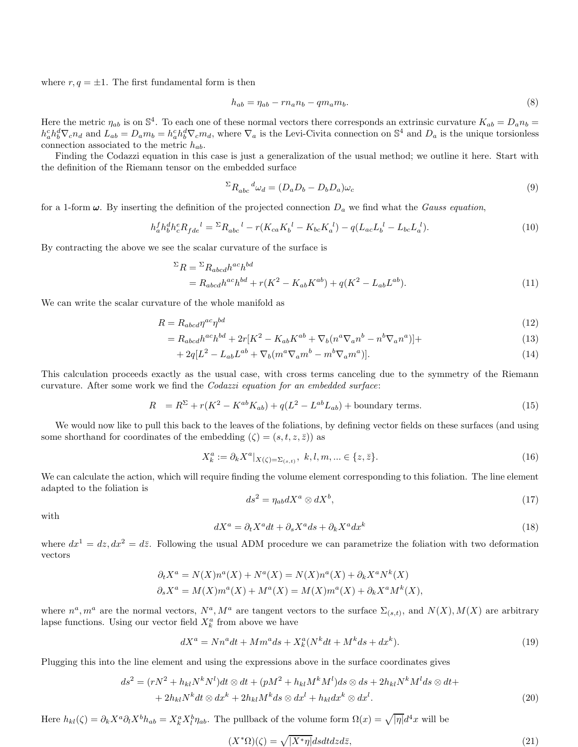where  $r, q = \pm 1$ . The first fundamental form is then

$$
h_{ab} = \eta_{ab} - r n_a n_b - q m_a m_b. \tag{8}
$$

Here the metric  $\eta_{ab}$  is on  $\mathbb{S}^4$ . To each one of these normal vectors there corresponds an extrinsic curvature  $K_{ab} = D_a n_b =$  $h_a^c h_b^d \nabla_c n_d$  and  $L_{ab} = D_a m_b = h_a^c h_b^d \nabla_c m_d$ , where  $\nabla_a$  is the Levi-Civita connection on  $\mathbb{S}^4$  and  $D_a$  is the unique torsionless connection associated to the metric  $h_{ab}$ .

Finding the Codazzi equation in this case is just a generalization of the usual method; we outline it here. Start with the definition of the Riemann tensor on the embedded surface

$$
{}^{\Sigma}R_{abc}{}^d\omega_d = (D_a D_b - D_b D_a)\omega_c \tag{9}
$$

for a 1-form  $\omega$ . By inserting the definition of the projected connection  $D_a$  we find what the Gauss equation,

$$
h_a^f h_b^d h_c^e R_{fde}^{\ d} = {}^{\Sigma} R_{abc}^{\ d} - r(K_{ca} K_b^{\ d} - K_{bc} K_a^{\ d}) - q(L_{ac} L_b^{\ d} - L_{bc} L_a^{\ d}).\tag{10}
$$

By contracting the above we see the scalar curvature of the surface is

$$
\Sigma R = \Sigma R_{abcd} h^{ac} h^{bd}
$$
  
=  $R_{abcd} h^{ac} h^{bd} + r(K^2 - K_{ab} K^{ab}) + q(K^2 - L_{ab} L^{ab}).$  (11)

We can write the scalar curvature of the whole manifold as

$$
R = R_{abcd} \eta^{ac} \eta^{bd} \tag{12}
$$

$$
= R_{abcd}h^{ac}h^{bd} + 2r[K^2 - K_{ab}K^{ab} + \nabla_b(n^a \nabla_a n^b - n^b \nabla_a n^a)] +
$$
\n(13)

$$
+2q[L^2 - L_{ab}L^{ab} + \nabla_b(m^a \nabla_a m^b - m^b \nabla_a m^a)].
$$
\n(14)

This calculation proceeds exactly as the usual case, with cross terms canceling due to the symmetry of the Riemann curvature. After some work we find the Codazzi equation for an embedded surface:

$$
R = R^{\Sigma} + r(K^2 - K^{ab}K_{ab}) + q(L^2 - L^{ab}L_{ab}) + \text{boundary terms.}
$$
\n(15)

We would now like to pull this back to the leaves of the foliations, by defining vector fields on these surfaces (and using some shorthand for coordinates of the embedding  $(\zeta) = (s, t, z, \overline{z})$  as

$$
X_k^a := \partial_k X^a |_{X(\zeta) = \Sigma_{(s,t)}}, \ k, l, m, \dots \in \{z, \bar{z}\}.
$$
 (16)

We can calculate the action, which will require finding the volume element corresponding to this foliation. The line element adapted to the foliation is

$$
ds^2 = \eta_{ab} dX^a \otimes dX^b,\tag{17}
$$

with

$$
dX^{a} = \partial_{t} X^{a} dt + \partial_{s} X^{a} ds + \partial_{k} X^{a} dx^{k}
$$
\n(18)

where  $dx^1 = dz, dx^2 = d\overline{z}$ . Following the usual ADM procedure we can parametrize the foliation with two deformation vectors

$$
\partial_t X^a = N(X)n^a(X) + N^a(X) = N(X)n^a(X) + \partial_k X^a N^k(X)
$$
  

$$
\partial_s X^a = M(X)m^a(X) + M^a(X) = M(X)m^a(X) + \partial_k X^a M^k(X),
$$

where  $n^a, m^a$  are the normal vectors,  $N^a, M^a$  are tangent vectors to the surface  $\Sigma_{(s,t)}$ , and  $N(X), M(X)$  are arbitrary lapse functions. Using our vector field  $X_k^a$  from above we have

$$
dX^{a} = Nn^{a}dt + Mm^{a}ds + X_{k}^{a}(N^{k}dt + M^{k}ds + dx^{k}).
$$
\n(19)

Plugging this into the line element and using the expressions above in the surface coordinates gives

$$
ds^{2} = (rN^{2} + h_{kl}N^{k}N^{l})dt \otimes dt + (pM^{2} + h_{kl}M^{k}M^{l})ds \otimes ds + 2h_{kl}N^{k}M^{l}ds \otimes dt +
$$
  
+ 2h\_{kl}N^{k}dt \otimes dx^{k} + 2h\_{kl}M^{k}ds \otimes dx^{l} + h\_{kl}dx^{k} \otimes dx^{l}. \t(20)

Here  $h_{kl}(\zeta) = \partial_k X^a \partial_l X^b h_{ab} = X^a_k X^b_l \eta_{ab}$ . The pullback of the volume form  $\Omega(x) = \sqrt{|\eta|} d^4 x$  will be

$$
(X^*\Omega)(\zeta) = \sqrt{|X^*\eta|} ds dt dz d\bar{z},\tag{21}
$$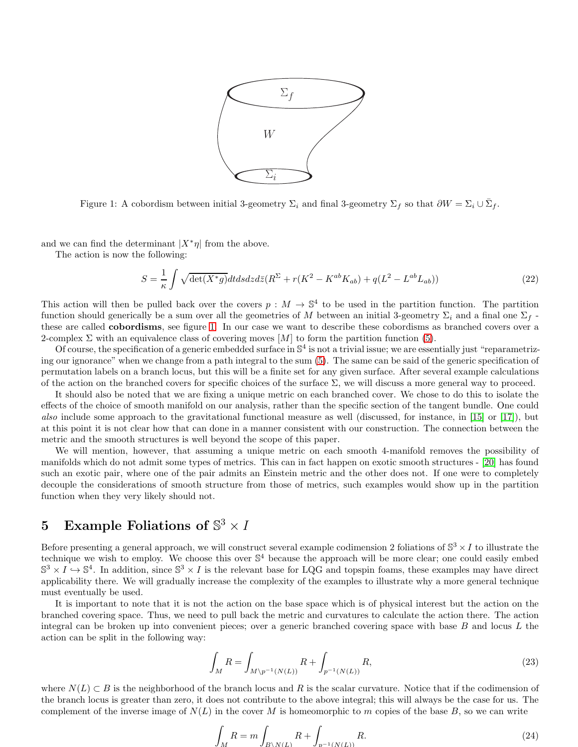

<span id="page-5-1"></span>Figure 1: A cobordism between initial 3-geometry  $\Sigma_i$  and final 3-geometry  $\Sigma_f$  so that  $\partial W = \Sigma_i \cup \overline{\Sigma}_f$ .

and we can find the determinant  $|X^*\eta|$  from the above.

The action is now the following:

<span id="page-5-2"></span>
$$
S = \frac{1}{\kappa} \int \sqrt{\det(X^*g)} dt ds dz d\bar{z} (R^{\Sigma} + r(K^2 - K^{ab}K_{ab}) + q(L^2 - L^{ab}L_{ab})) \tag{22}
$$

This action will then be pulled back over the covers  $p : M \to \mathbb{S}^4$  to be used in the partition function. The partition function should generically be a sum over all the geometries of M between an initial 3-geometry  $\Sigma_i$  and a final one  $\Sigma_f$ . these are called cobordisms, see figure [1.](#page-5-1) In our case we want to describe these cobordisms as branched covers over a 2-complex  $\Sigma$  with an equivalence class of covering moves  $[M]$  to form the partition function [\(5\)](#page-3-2).

Of course, the specification of a generic embedded surface in  $\mathbb{S}^4$  is not a trivial issue; we are essentially just "reparametrizing our ignorance" when we change from a path integral to the sum [\(5\)](#page-3-2). The same can be said of the generic specification of permutation labels on a branch locus, but this will be a finite set for any given surface. After several example calculations of the action on the branched covers for specific choices of the surface  $\Sigma$ , we will discuss a more general way to proceed.

It should also be noted that we are fixing a unique metric on each branched cover. We chose to do this to isolate the effects of the choice of smooth manifold on our analysis, rather than the specific section of the tangent bundle. One could also include some approach to the gravitational functional measure as well (discussed, for instance, in [\[15\]](#page-17-0) or [\[17\]](#page-17-13)), but at this point it is not clear how that can done in a manner consistent with our construction. The connection between the metric and the smooth structures is well beyond the scope of this paper.

We will mention, however, that assuming a unique metric on each smooth 4-manifold removes the possibility of manifolds which do not admit some types of metrics. This can in fact happen on exotic smooth structures - [\[20\]](#page-17-14) has found such an exotic pair, where one of the pair admits an Einstein metric and the other does not. If one were to completely decouple the considerations of smooth structure from those of metrics, such examples would show up in the partition function when they very likely should not.

# <span id="page-5-0"></span>5 Example Foliations of  $\mathbb{S}^3 \times I$

Before presenting a general approach, we will construct several example codimension 2 foliations of  $\mathbb{S}^3 \times I$  to illustrate the technique we wish to employ. We choose this over  $\mathbb{S}^4$  because the approach will be more clear; one could easily embed  $\mathbb{S}^3 \times I \hookrightarrow \mathbb{S}^4$ . In addition, since  $\mathbb{S}^3 \times I$  is the relevant base for LQG and topspin foams, these examples may have direct applicability there. We will gradually increase the complexity of the examples to illustrate why a more general technique must eventually be used.

It is important to note that it is not the action on the base space which is of physical interest but the action on the branched covering space. Thus, we need to pull back the metric and curvatures to calculate the action there. The action integral can be broken up into convenient pieces; over a generic branched covering space with base  $B$  and locus  $L$  the action can be split in the following way:

$$
\int_{M} R = \int_{M \setminus p^{-1}(N(L))} R + \int_{p^{-1}(N(L))} R,\tag{23}
$$

where  $N(L) \subset B$  is the neighborhood of the branch locus and R is the scalar curvature. Notice that if the codimension of the branch locus is greater than zero, it does not contribute to the above integral; this will always be the case for us. The complement of the inverse image of  $N(L)$  in the cover M is homeomorphic to m copies of the base B, so we can write

$$
\int_{M} R = m \int_{B \setminus N(L)} R + \int_{n^{-1}(N(L))} R.
$$
\n(24)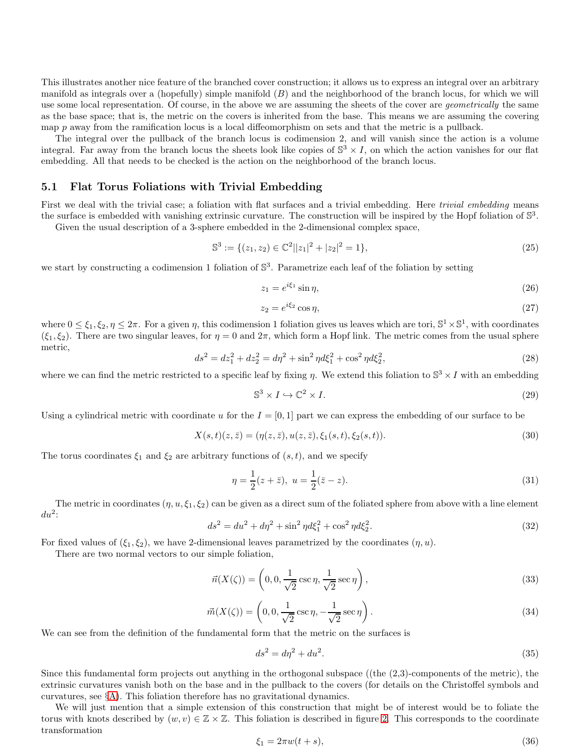This illustrates another nice feature of the branched cover construction; it allows us to express an integral over an arbitrary manifold as integrals over a (hopefully) simple manifold  $(B)$  and the neighborhood of the branch locus, for which we will use some local representation. Of course, in the above we are assuming the sheets of the cover are *geometrically* the same as the base space; that is, the metric on the covers is inherited from the base. This means we are assuming the covering map p away from the ramification locus is a local diffeomorphism on sets and that the metric is a pullback.

The integral over the pullback of the branch locus is codimension 2, and will vanish since the action is a volume integral. Far away from the branch locus the sheets look like copies of  $\mathbb{S}^3 \times I$ , on which the action vanishes for our flat embedding. All that needs to be checked is the action on the neighborhood of the branch locus.

#### 5.1 Flat Torus Foliations with Trivial Embedding

First we deal with the trivial case; a foliation with flat surfaces and a trivial embedding. Here *trivial embedding* means the surface is embedded with vanishing extrinsic curvature. The construction will be inspired by the Hopf foliation of  $\mathbb{S}^3$ .

Given the usual description of a 3-sphere embedded in the 2-dimensional complex space,

$$
\mathbb{S}^3 := \{ (z_1, z_2) \in \mathbb{C}^2 | |z_1|^2 + |z_2|^2 = 1 \},\tag{25}
$$

we start by constructing a codimension 1 foliation of  $\mathbb{S}^3$ . Parametrize each leaf of the foliation by setting

$$
z_1 = e^{i\xi_1} \sin \eta,\tag{26}
$$

$$
z_2 = e^{i\xi_2} \cos \eta,\tag{27}
$$

where  $0 \le \xi_1, \xi_2, \eta \le 2\pi$ . For a given  $\eta$ , this codimension 1 foliation gives us leaves which are tori,  $\mathbb{S}^1 \times \mathbb{S}^1$ , with coordinates  $(\xi_1, \xi_2)$ . There are two singular leaves, for  $\eta = 0$  and  $2\pi$ , which form a Hopf link. The metric comes from the usual sphere metric,

$$
ds^2 = dz_1^2 + dz_2^2 = d\eta^2 + \sin^2 \eta d\xi_1^2 + \cos^2 \eta d\xi_2^2,
$$
\n(28)

where we can find the metric restricted to a specific leaf by fixing  $\eta$ . We extend this foliation to  $\mathbb{S}^3 \times I$  with an embedding

$$
\mathbb{S}^3 \times I \hookrightarrow \mathbb{C}^2 \times I. \tag{29}
$$

Using a cylindrical metric with coordinate u for the  $I = [0, 1]$  part we can express the embedding of our surface to be

$$
X(s,t)(z,\bar{z}) = (\eta(z,\bar{z}), u(z,\bar{z}), \xi_1(s,t), \xi_2(s,t)).
$$
\n(30)

The torus coordinates  $\xi_1$  and  $\xi_2$  are arbitrary functions of  $(s, t)$ , and we specify

<span id="page-6-3"></span>
$$
\eta = \frac{1}{2}(z + \bar{z}), \ u = \frac{1}{2}(\bar{z} - z). \tag{31}
$$

The metric in coordinates  $(\eta, u, \xi_1, \xi_2)$  can be given as a direct sum of the foliated sphere from above with a line element  $du^2$ :

<span id="page-6-0"></span>
$$
ds^{2} = du^{2} + d\eta^{2} + \sin^{2}\eta d\xi_{1}^{2} + \cos^{2}\eta d\xi_{2}^{2}.
$$
 (32)

For fixed values of  $(\xi_1, \xi_2)$ , we have 2-dimensional leaves parametrized by the coordinates  $(\eta, u)$ .

There are two normal vectors to our simple foliation,

<span id="page-6-1"></span>
$$
\vec{n}(X(\zeta)) = \left(0, 0, \frac{1}{\sqrt{2}} \csc \eta, \frac{1}{\sqrt{2}} \sec \eta\right),\tag{33}
$$

<span id="page-6-2"></span>
$$
\vec{m}(X(\zeta)) = \left(0, 0, \frac{1}{\sqrt{2}} \csc \eta, -\frac{1}{\sqrt{2}} \sec \eta\right). \tag{34}
$$

We can see from the definition of the fundamental form that the metric on the surfaces is

$$
ds^2 = d\eta^2 + du^2. \tag{35}
$$

Since this fundamental form projects out anything in the orthogonal subspace ((the (2,3)-components of the metric), the extrinsic curvatures vanish both on the base and in the pullback to the covers (for details on the Christoffel symbols and curvatures, see  $\S$ [A\)](#page-14-0). This foliation therefore has no gravitational dynamics.

We will just mention that a simple extension of this construction that might be of interest would be to foliate the torus with knots described by  $(w, v) \in \mathbb{Z} \times \mathbb{Z}$ . This foliation is described in figure [2.](#page-7-0) This corresponds to the coordinate transformation

$$
\xi_1 = 2\pi w(t+s),\tag{36}
$$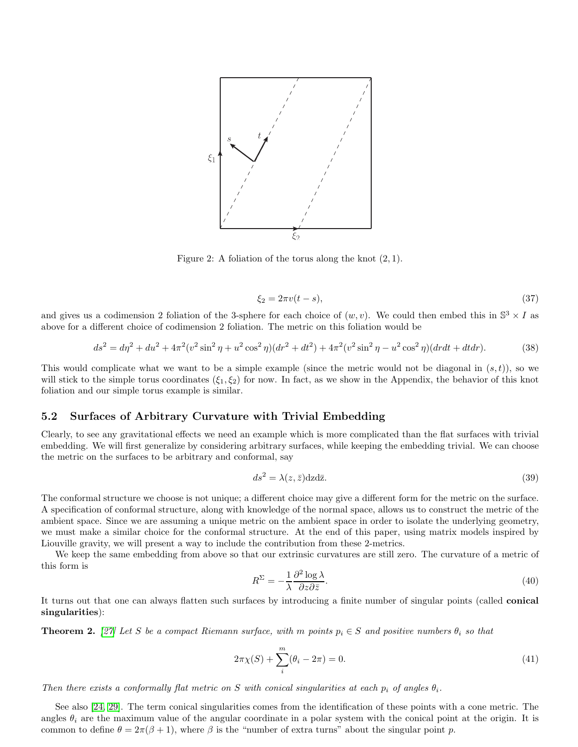

<span id="page-7-0"></span>Figure 2: A foliation of the torus along the knot  $(2, 1)$ .

$$
\xi_2 = 2\pi v(t - s),\tag{37}
$$

and gives us a codimension 2 foliation of the 3-sphere for each choice of  $(w, v)$ . We could then embed this in  $\mathbb{S}^3 \times I$  as above for a different choice of codimension 2 foliation. The metric on this foliation would be

<span id="page-7-3"></span>
$$
ds^{2} = d\eta^{2} + du^{2} + 4\pi^{2}(v^{2}\sin^{2}\eta + u^{2}\cos^{2}\eta)(dr^{2} + dt^{2}) + 4\pi^{2}(v^{2}\sin^{2}\eta - u^{2}\cos^{2}\eta)(drdt + dtdr).
$$
 (38)

This would complicate what we want to be a simple example (since the metric would not be diagonal in  $(s,t)$ ), so we will stick to the simple torus coordinates  $(\xi_1, \xi_2)$  for now. In fact, as we show in the Appendix, the behavior of this knot foliation and our simple torus example is similar.

#### 5.2 Surfaces of Arbitrary Curvature with Trivial Embedding

Clearly, to see any gravitational effects we need an example which is more complicated than the flat surfaces with trivial embedding. We will first generalize by considering arbitrary surfaces, while keeping the embedding trivial. We can choose the metric on the surfaces to be arbitrary and conformal, say

<span id="page-7-2"></span>
$$
ds^2 = \lambda(z, \bar{z}) \text{d}z \text{d}\bar{z}.\tag{39}
$$

The conformal structure we choose is not unique; a different choice may give a different form for the metric on the surface. A specification of conformal structure, along with knowledge of the normal space, allows us to construct the metric of the ambient space. Since we are assuming a unique metric on the ambient space in order to isolate the underlying geometry, we must make a similar choice for the conformal structure. At the end of this paper, using matrix models inspired by Liouville gravity, we will present a way to include the contribution from these 2-metrics.

We keep the same embedding from above so that our extrinsic curvatures are still zero. The curvature of a metric of this form is

$$
R^{\Sigma} = -\frac{1}{\lambda} \frac{\partial^2 \log \lambda}{\partial z \partial \bar{z}}.
$$
\n(40)

It turns out that one can always flatten such surfaces by introducing a finite number of singular points (called conical singularities):

**Theorem 2.** [\[27\]](#page-17-15) Let S be a compact Riemann surface, with m points  $p_i \in S$  and positive numbers  $\theta_i$  so that

<span id="page-7-1"></span>
$$
2\pi\chi(S) + \sum_{i}^{m} (\theta_i - 2\pi) = 0.
$$
\n(41)

Then there exists a conformally flat metric on S with conical singularities at each  $p_i$  of angles  $\theta_i$ .

See also [\[24,](#page-17-16) [29\]](#page-17-17). The term conical singularities comes from the identification of these points with a cone metric. The angles  $\theta_i$  are the maximum value of the angular coordinate in a polar system with the conical point at the origin. It is common to define  $\theta = 2\pi(\beta + 1)$ , where  $\beta$  is the "number of extra turns" about the singular point p.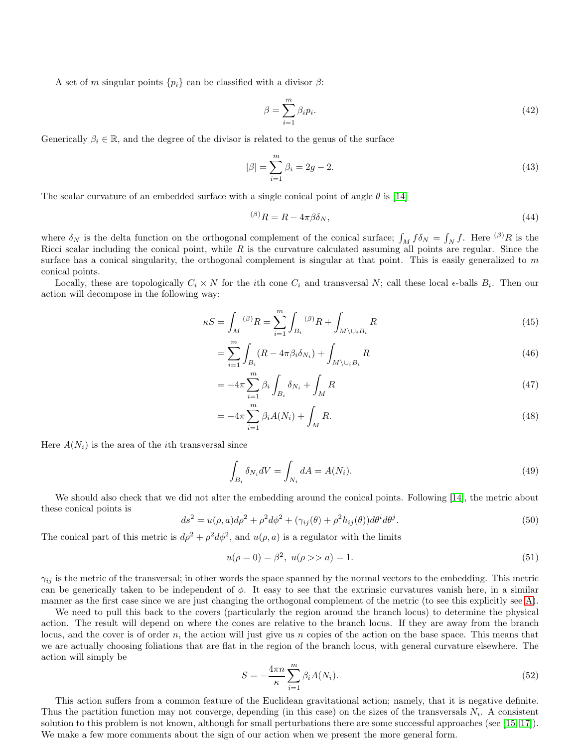A set of m singular points  $\{p_i\}$  can be classified with a divisor  $\beta$ :

$$
\beta = \sum_{i=1}^{m} \beta_i p_i. \tag{42}
$$

Generically  $\beta_i \in \mathbb{R}$ , and the degree of the divisor is related to the genus of the surface

$$
|\beta| = \sum_{i=1}^{m} \beta_i = 2g - 2. \tag{43}
$$

The scalar curvature of an embedded surface with a single conical point of angle  $\theta$  is [\[14\]](#page-17-18)

$$
{}^{(\beta)}R = R - 4\pi\beta\delta_N,\tag{44}
$$

where  $\delta_N$  is the delta function on the orthogonal complement of the conical surface;  $\int_M f \delta_N = \int_N f$ . Here  $^{(\beta)}R$  is the Ricci scalar including the conical point, while  $R$  is the curvature calculated assuming all points are regular. Since the surface has a conical singularity, the orthogonal complement is singular at that point. This is easily generalized to  $m$ conical points.

Locally, these are topologically  $C_i \times N$  for the *i*th cone  $C_i$  and transversal N; call these local  $\epsilon$ -balls  $B_i$ . Then our action will decompose in the following way:

$$
\kappa S = \int_{M} {}^{(\beta)}R = \sum_{i=1}^{m} \int_{B_{i}} {}^{(\beta)}R + \int_{M \setminus \cup_{i} B_{i}} R
$$
\n(45)

$$
=\sum_{i=1}^{m} \int_{B_i} (R - 4\pi \beta_i \delta_{N_i}) + \int_{M \setminus \cup_i B_i} R \tag{46}
$$

$$
= -4\pi \sum_{i=1}^{m} \beta_i \int_{B_i} \delta_{N_i} + \int_{M} R \tag{47}
$$

$$
= -4\pi \sum_{i=1}^{m} \beta_i A(N_i) + \int_M R.
$$
\n(48)

Here  $A(N_i)$  is the area of the *i*th transversal since

$$
\int_{B_i} \delta_{N_i} dV = \int_{N_i} dA = A(N_i). \tag{49}
$$

We should also check that we did not alter the embedding around the conical points. Following [\[14\]](#page-17-18), the metric about these conical points is

<span id="page-8-0"></span>
$$
ds^{2} = u(\rho, a)d\rho^{2} + \rho^{2}d\phi^{2} + (\gamma_{ij}(\theta) + \rho^{2}h_{ij}(\theta))d\theta^{i}d\theta^{j}.
$$
\n
$$
(50)
$$

The conical part of this metric is  $d\rho^2 + \rho^2 d\phi^2$ , and  $u(\rho, a)$  is a regulator with the limits

$$
u(\rho = 0) = \beta^2, \ u(\rho >> a) = 1. \tag{51}
$$

 $\gamma_{ij}$  is the metric of the transversal; in other words the space spanned by the normal vectors to the embedding. This metric can be generically taken to be independent of  $\phi$ . It easy to see that the extrinsic curvatures vanish here, in a similar manner as the first case since we are just changing the orthogonal complement of the metric (to see this explicitly see [A\)](#page-14-0).

We need to pull this back to the covers (particularly the region around the branch locus) to determine the physical action. The result will depend on where the cones are relative to the branch locus. If they are away from the branch locus, and the cover is of order n, the action will just give us n copies of the action on the base space. This means that we are actually choosing foliations that are flat in the region of the branch locus, with general curvature elsewhere. The action will simply be

$$
S = -\frac{4\pi n}{\kappa} \sum_{i=1}^{m} \beta_i A(N_i). \tag{52}
$$

This action suffers from a common feature of the Euclidean gravitational action; namely, that it is negative definite. Thus the partition function may not converge, depending (in this case) on the sizes of the transversals  $N_i$ . A consistent solution to this problem is not known, although for small perturbations there are some successful approaches (see [\[15,](#page-17-0) [17\]](#page-17-13)). We make a few more comments about the sign of our action when we present the more general form.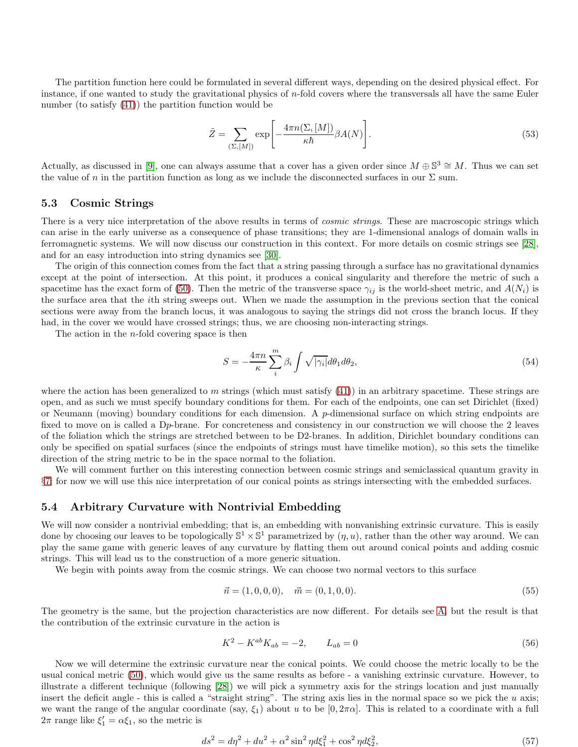The partition function here could be formulated in several different ways, depending on the desired physical effect. For instance, if one wanted to study the gravitational physics of n-fold covers where the transversals all have the same Euler number (to satisfy [\(41\)](#page-7-1)) the partition function would be

$$
\tilde{Z} = \sum_{(\Sigma, [M])} \exp\left[ -\frac{4\pi n (\Sigma, [M])}{\kappa \hbar} \beta A(N) \right].
$$
\n(53)

Actually, as discussed in [\[9\]](#page-17-5), one can always assume that a cover has a given order since  $M \oplus \mathbb{S}^3 \cong M$ . Thus we can set the value of n in the partition function as long as we include the disconnected surfaces in our  $\Sigma$  sum.

#### 5.3 Cosmic Strings

There is a very nice interpretation of the above results in terms of *cosmic strings*. These are macroscopic strings which can arise in the early universe as a consequence of phase transitions; they are 1-dimensional analogs of domain walls in ferromagnetic systems. We will now discuss our construction in this context. For more details on cosmic strings see [\[28\]](#page-17-19), and for an easy introduction into string dynamics see [\[30\]](#page-17-20).

The origin of this connection comes from the fact that a string passing through a surface has no gravitational dynamics except at the point of intersection. At this point, it produces a conical singularity and therefore the metric of such a spacetime has the exact form of [\(50\)](#page-8-0). Then the metric of the transverse space  $\gamma_{ij}$  is the world-sheet metric, and  $A(N_i)$  is the surface area that the ith string sweeps out. When we made the assumption in the previous section that the conical sections were away from the branch locus, it was analogous to saying the strings did not cross the branch locus. If they had, in the cover we would have crossed strings; thus, we are choosing non-interacting strings.

The action in the *n*-fold covering space is then

$$
S = -\frac{4\pi n}{\kappa} \sum_{i}^{m} \beta_{i} \int \sqrt{|\gamma_{i}|} d\theta_{1} d\theta_{2}, \qquad (54)
$$

where the action has been generalized to m strings (which must satisfy  $(41)$ ) in an arbitrary spacetime. These strings are open, and as such we must specify boundary conditions for them. For each of the endpoints, one can set Dirichlet (fixed) or Neumann (moving) boundary conditions for each dimension. A p-dimensional surface on which string endpoints are fixed to move on is called a Dp-brane. For concreteness and consistency in our construction we will choose the 2 leaves of the foliation which the strings are stretched between to be D2-branes. In addition, Dirichlet boundary conditions can only be specified on spatial surfaces (since the endpoints of strings must have timelike motion), so this sets the timelike direction of the string metric to be in the space normal to the foliation.

We will comment further on this interesting connection between cosmic strings and semiclassical quantum gravity in §[7;](#page-14-1) for now we will use this nice interpretation of our conical points as strings intersecting with the embedded surfaces.

#### 5.4 Arbitrary Curvature with Nontrivial Embedding

We will now consider a nontrivial embedding; that is, an embedding with nonvanishing extrinsic curvature. This is easily done by choosing our leaves to be topologically  $\mathbb{S}^1 \times \mathbb{S}^1$  parametrized by  $(\eta, u)$ , rather than the other way around. We can play the same game with generic leaves of any curvature by flatting them out around conical points and adding cosmic strings. This will lead us to the construction of a more generic situation.

We begin with points away from the cosmic strings. We can choose two normal vectors to this surface

<span id="page-9-0"></span>
$$
\vec{n} = (1, 0, 0, 0), \quad \vec{m} = (0, 1, 0, 0). \tag{55}
$$

The geometry is the same, but the projection characteristics are now different. For details see [A,](#page-14-0) but the result is that the contribution of the extrinsic curvature in the action is

$$
K^2 - K^{ab} K_{ab} = -2, \qquad L_{ab} = 0 \tag{56}
$$

Now we will determine the extrinsic curvature near the conical points. We could choose the metric locally to be the usual conical metric [\(50\)](#page-8-0), which would give us the same results as before - a vanishing extrinsic curvature. However, to illustrate a different technique (following [\[28\]](#page-17-19)) we will pick a symmetry axis for the strings location and just manually insert the deficit angle - this is called a "straight string". The string axis lies in the normal space so we pick the  $u$  axis; we want the range of the angular coordinate (say,  $\xi_1$ ) about u to be [0,  $2\pi\alpha$ ]. This is related to a coordinate with a full  $2\pi$  range like  $\xi'_1 = \alpha \xi_1$ , so the metric is

$$
ds^2 = d\eta^2 + du^2 + \alpha^2 \sin^2 \eta d\xi_1^2 + \cos^2 \eta d\xi_2^2,
$$
\n(57)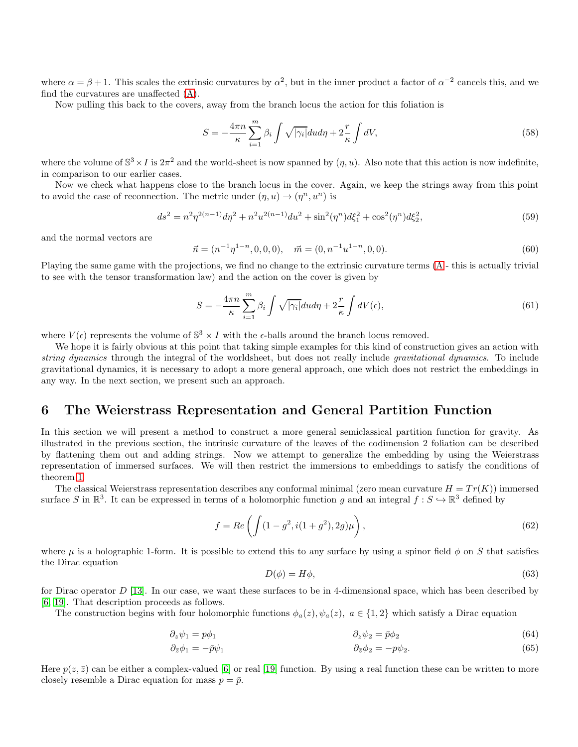where  $\alpha = \beta + 1$ . This scales the extrinsic curvatures by  $\alpha^2$ , but in the inner product a factor of  $\alpha^{-2}$  cancels this, and we find the curvatures are unaffected [\(A\)](#page-14-0).

Now pulling this back to the covers, away from the branch locus the action for this foliation is

$$
S = -\frac{4\pi n}{\kappa} \sum_{i=1}^{m} \beta_i \int \sqrt{|\gamma_i|} du d\eta + 2\frac{r}{\kappa} \int dV,\tag{58}
$$

where the volume of  $\mathbb{S}^3 \times I$  is  $2\pi^2$  and the world-sheet is now spanned by  $(\eta, u)$ . Also note that this action is now indefinite, in comparison to our earlier cases.

Now we check what happens close to the branch locus in the cover. Again, we keep the strings away from this point to avoid the case of reconnection. The metric under  $(\eta, u) \to (\eta^n, u^n)$  is

$$
ds^{2} = n^{2}\eta^{2(n-1)}d\eta^{2} + n^{2}u^{2(n-1)}du^{2} + \sin^{2}(\eta^{n})d\xi_{1}^{2} + \cos^{2}(\eta^{n})d\xi_{2}^{2},
$$
\n(59)

and the normal vectors are

$$
\vec{n} = (n^{-1}\eta^{1-n}, 0, 0, 0), \quad \vec{m} = (0, n^{-1}u^{1-n}, 0, 0).
$$
\n(60)

Playing the same game with the projections, we find no change to the extrinsic curvature terms [\(A](#page-14-0) - this is actually trivial to see with the tensor transformation law) and the action on the cover is given by

$$
S = -\frac{4\pi n}{\kappa} \sum_{i=1}^{m} \beta_i \int \sqrt{|\gamma_i|} du d\eta + 2\frac{r}{\kappa} \int dV(\epsilon), \tag{61}
$$

where  $V(\epsilon)$  represents the volume of  $\mathbb{S}^3 \times I$  with the  $\epsilon$ -balls around the branch locus removed.

We hope it is fairly obvious at this point that taking simple examples for this kind of construction gives an action with string dynamics through the integral of the worldsheet, but does not really include gravitational dynamics. To include gravitational dynamics, it is necessary to adopt a more general approach, one which does not restrict the embeddings in any way. In the next section, we present such an approach.

## <span id="page-10-0"></span>6 The Weierstrass Representation and General Partition Function

In this section we will present a method to construct a more general semiclassical partition function for gravity. As illustrated in the previous section, the intrinsic curvature of the leaves of the codimension 2 foliation can be described by flattening them out and adding strings. Now we attempt to generalize the embedding by using the Weierstrass representation of immersed surfaces. We will then restrict the immersions to embeddings to satisfy the conditions of theorem [1.](#page-3-3)

The classical Weierstrass representation describes any conformal minimal (zero mean curvature  $H = Tr(K)$ ) immersed surface S in  $\mathbb{R}^3$ . It can be expressed in terms of a holomorphic function g and an integral  $f: S \hookrightarrow \mathbb{R}^3$  defined by

$$
f = Re\left(\int (1 - g^2, i(1 + g^2), 2g)\mu\right),\tag{62}
$$

where  $\mu$  is a holographic 1-form. It is possible to extend this to any surface by using a spinor field  $\phi$  on S that satisfies the Dirac equation

<span id="page-10-1"></span>
$$
D(\phi) = H\phi,\tag{63}
$$

for Dirac operator  $D$  [\[13\]](#page-17-21). In our case, we want these surfaces to be in 4-dimensional space, which has been described by [\[6,](#page-16-4) [19\]](#page-17-22). That description proceeds as follows.

The construction begins with four holomorphic functions  $\phi_a(z)$ ,  $\psi_a(z)$ ,  $a \in \{1,2\}$  which satisfy a Dirac equation

$$
\partial_z \psi_1 = p \phi_1 \tag{64}
$$

$$
\partial_{\bar{z}}\phi_1 = -\bar{p}\psi_1 \qquad \qquad \partial_{\bar{z}}\phi_2 = -p\psi_2. \tag{65}
$$

Here  $p(z, \bar{z})$  can be either a complex-valued [\[6\]](#page-16-4) or real [\[19\]](#page-17-22) function. By using a real function these can be written to more closely resemble a Dirac equation for mass  $p = \bar{p}$ .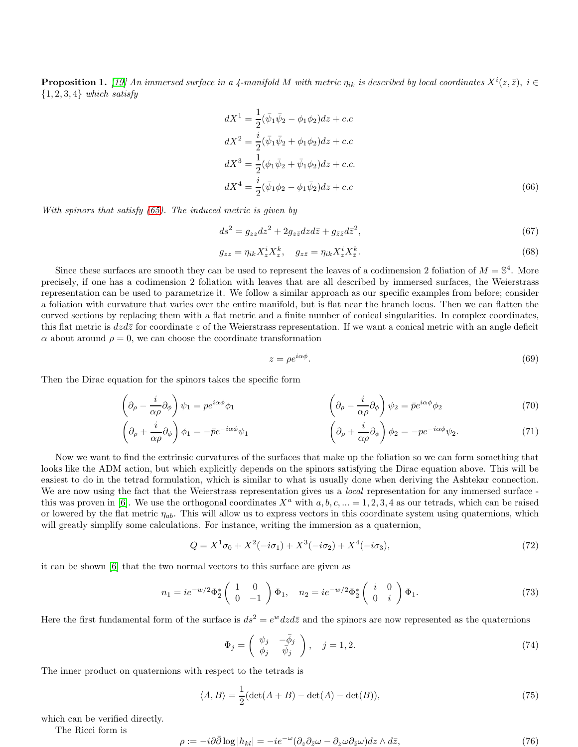**Proposition 1.** [\[19\]](#page-17-22) An immersed surface in a 4-manifold M with metric  $\eta_{ik}$  is described by local coordinates  $X^{i}(z, \bar{z})$ ,  $i \in$  $\{1, 2, 3, 4\}$  which satisfy

$$
dX^{1} = \frac{1}{2}(\bar{\psi}_{1}\bar{\psi}_{2} - \phi_{1}\phi_{2})dz + c.c
$$
  
\n
$$
dX^{2} = \frac{i}{2}(\bar{\psi}_{1}\bar{\psi}_{2} + \phi_{1}\phi_{2})dz + c.c
$$
  
\n
$$
dX^{3} = \frac{1}{2}(\phi_{1}\bar{\psi}_{2} + \bar{\psi}_{1}\phi_{2})dz + c.c.
$$
  
\n
$$
dX^{4} = \frac{i}{2}(\bar{\psi}_{1}\phi_{2} - \phi_{1}\bar{\psi}_{2})dz + c.c
$$
\n(66)

With spinors that satisfy [\(65\)](#page-10-1). The induced metric is given by

$$
ds^2 = g_{zz}dz^2 + 2g_{z\bar{z}}dzd\bar{z} + g_{\bar{z}\bar{z}}d\bar{z}^2,\tag{67}
$$

$$
g_{zz} = \eta_{ik} X_z^i X_z^k, \quad g_{z\bar{z}} = \eta_{ik} X_z^i X_{\bar{z}}^k.
$$
\n
$$
(68)
$$

Since these surfaces are smooth they can be used to represent the leaves of a codimension 2 foliation of  $M = \mathbb{S}^4$ . More precisely, if one has a codimension 2 foliation with leaves that are all described by immersed surfaces, the Weierstrass representation can be used to parametrize it. We follow a similar approach as our specific examples from before; consider a foliation with curvature that varies over the entire manifold, but is flat near the branch locus. Then we can flatten the curved sections by replacing them with a flat metric and a finite number of conical singularities. In complex coordinates, this flat metric is  $dzd\bar{z}$  for coordinate z of the Weierstrass representation. If we want a conical metric with an angle deficit  $\alpha$  about around  $\rho = 0$ , we can choose the coordinate transformation

<span id="page-11-0"></span>
$$
z = \rho e^{i\alpha\phi}.\tag{69}
$$

Then the Dirac equation for the spinors takes the specific form

$$
\left(\partial_{\rho} - \frac{i}{\alpha \rho} \partial_{\phi}\right) \psi_1 = p e^{i\alpha \phi} \phi_1 \qquad \left(\partial_{\rho} - \frac{i}{\alpha \rho} \partial_{\phi}\right) \psi_2 = \bar{p} e^{i\alpha \phi} \phi_2 \tag{70}
$$

$$
\left(\partial_{\rho} + \frac{i}{\alpha \rho} \partial_{\phi}\right) \phi_1 = -\bar{p} e^{-i\alpha \phi} \psi_1 \qquad \left(\partial_{\rho} + \frac{i}{\alpha \rho} \partial_{\phi}\right) \phi_2 = -p e^{-i\alpha \phi} \psi_2. \tag{71}
$$

Now we want to find the extrinsic curvatures of the surfaces that make up the foliation so we can form something that looks like the ADM action, but which explicitly depends on the spinors satisfying the Dirac equation above. This will be easiest to do in the tetrad formulation, which is similar to what is usually done when deriving the Ashtekar connection. We are now using the fact that the Weierstrass representation gives us a *local* representation for any immersed surface -this was proven in [\[6\]](#page-16-4). We use the orthogonal coordinates  $X^a$  with  $a, b, c, ... = 1, 2, 3, 4$  as our tetrads, which can be raised or lowered by the flat metric  $\eta_{ab}$ . This will allow us to express vectors in this coordinate system using quaternions, which will greatly simplify some calculations. For instance, writing the immersion as a quaternion,

$$
Q = X^{1} \sigma_{0} + X^{2} (-i\sigma_{1}) + X^{3} (-i\sigma_{2}) + X^{4} (-i\sigma_{3}), \qquad (72)
$$

it can be shown [\[6\]](#page-16-4) that the two normal vectors to this surface are given as

<span id="page-11-1"></span>
$$
n_1 = ie^{-w/2}\Phi_2^* \begin{pmatrix} 1 & 0 \ 0 & -1 \end{pmatrix} \Phi_1, \quad n_2 = ie^{-w/2}\Phi_2^* \begin{pmatrix} i & 0 \ 0 & i \end{pmatrix} \Phi_1.
$$
 (73)

Here the first fundamental form of the surface is  $ds^2 = e^w dz d\bar{z}$  and the spinors are now represented as the quaternions

$$
\Phi_j = \begin{pmatrix} \psi_j & -\bar{\phi}_j \\ \phi_j & \bar{\psi}_j \end{pmatrix}, \quad j = 1, 2. \tag{74}
$$

The inner product on quaternions with respect to the tetrads is

$$
\langle A, B \rangle = \frac{1}{2} (\det(A + B) - \det(A) - \det(B)), \tag{75}
$$

which can be verified directly.

The Ricci form is

$$
\rho := -i\partial\bar{\partial}\log|h_{kl}| = -ie^{-\omega}(\partial_z\partial_{\bar{z}}\omega - \partial_z\omega\partial_{\bar{z}}\omega)dz \wedge d\bar{z},\tag{76}
$$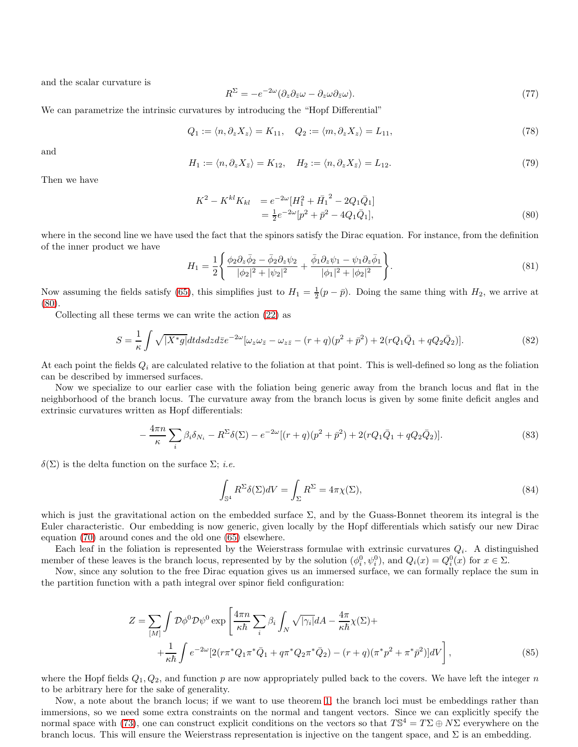and the scalar curvature is

$$
R^{\Sigma} = -e^{-2\omega} (\partial_z \partial_{\bar{z}} \omega - \partial_z \omega \partial_{\bar{z}} \omega). \tag{77}
$$

We can parametrize the intrinsic curvatures by introducing the "Hopf Differential"

$$
Q_1 := \langle n, \partial_z X_z \rangle = K_{11}, \quad Q_2 := \langle m, \partial_z X_z \rangle = L_{11}, \tag{78}
$$

and

$$
H_1 := \langle n, \partial_z X_{\bar{z}} \rangle = K_{12}, \quad H_2 := \langle n, \partial_z X_{\bar{z}} \rangle = L_{12}.
$$
\n
$$
(79)
$$

Then we have

<span id="page-12-0"></span>
$$
K^{2} - K^{kl}K_{kl} = e^{-2\omega}[H_{1}^{2} + \bar{H}_{1}^{2} - 2Q_{1}\bar{Q}_{1}]
$$
  
=  $\frac{1}{2}e^{-2\omega}[p^{2} + \bar{p}^{2} - 4Q_{1}\bar{Q}_{1}],$  (80)

where in the second line we have used the fact that the spinors satisfy the Dirac equation. For instance, from the definition of the inner product we have

$$
H_1 = \frac{1}{2} \left\{ \frac{\phi_2 \partial_z \bar{\phi}_2 - \bar{\phi}_2 \partial_z \psi_2}{|\phi_2|^2 + |\psi_2|^2} + \frac{\bar{\phi}_1 \partial_z \psi_1 - \psi_1 \partial_z \bar{\phi}_1}{|\phi_1|^2 + |\phi_2|^2} \right\}.
$$
(81)

Now assuming the fields satisfy [\(65\)](#page-10-1), this simplifies just to  $H_1 = \frac{1}{2}(p - \bar{p})$ . Doing the same thing with  $H_2$ , we arrive at [\(80\)](#page-12-0).

Collecting all these terms we can write the action [\(22\)](#page-5-2) as

$$
S = \frac{1}{\kappa} \int \sqrt{|X^* g|} dt ds dz d\bar{z} e^{-2\omega} [\omega_z \omega_{\bar{z}} - \omega_{z\bar{z}} - (r+q)(p^2 + \bar{p}^2) + 2(rQ_1 \bar{Q}_1 + qQ_2 \bar{Q}_2)]. \tag{82}
$$

At each point the fields  $Q_i$  are calculated relative to the foliation at that point. This is well-defined so long as the foliation can be described by immersed surfaces.

Now we specialize to our earlier case with the foliation being generic away from the branch locus and flat in the neighborhood of the branch locus. The curvature away from the branch locus is given by some finite deficit angles and extrinsic curvatures written as Hopf differentials:

<span id="page-12-1"></span>
$$
-\frac{4\pi n}{\kappa} \sum_{i} \beta_{i} \delta_{N_{i}} - R^{\Sigma} \delta(\Sigma) - e^{-2\omega} [(r+q)(p^{2} + \bar{p}^{2}) + 2(rQ_{1}\bar{Q}_{1} + qQ_{2}\bar{Q}_{2})]. \tag{83}
$$

 $\delta(\Sigma)$  is the delta function on the surface  $\Sigma$ ; *i.e.* 

<span id="page-12-2"></span>
$$
\int_{\mathbb{S}^4} R^{\Sigma} \delta(\Sigma) dV = \int_{\Sigma} R^{\Sigma} = 4\pi \chi(\Sigma),\tag{84}
$$

which is just the gravitational action on the embedded surface  $\Sigma$ , and by the Guass-Bonnet theorem its integral is the Euler characteristic. Our embedding is now generic, given locally by the Hopf differentials which satisfy our new Dirac equation [\(70\)](#page-11-0) around cones and the old one [\(65\)](#page-10-1) elsewhere.

Each leaf in the foliation is represented by the Weierstrass formulae with extrinsic curvatures  $Q_i$ . A distinguished member of these leaves is the branch locus, represented by by the solution  $(\phi_i^0, \psi_i^0)$ , and  $Q_i(x) = Q_i^0(x)$  for  $x \in \Sigma$ .

Now, since any solution to the free Dirac equation gives us an immersed surface, we can formally replace the sum in the partition function with a path integral over spinor field configuration:

$$
Z = \sum_{[M]} \int \mathcal{D}\phi^0 \mathcal{D}\psi^0 \exp\left[\frac{4\pi n}{\kappa \hbar} \sum_i \beta_i \int_N \sqrt{|\gamma_i|} dA - \frac{4\pi}{\kappa \hbar} \chi(\Sigma) + \right. \\
\left. + \frac{1}{\kappa \hbar} \int e^{-2\omega} \left[2\left(r\pi^* Q_1 \pi^* \bar{Q}_1 + q\pi^* Q_2 \pi^* \bar{Q}_2\right) - \left(r + q\right) \left(\pi^* p^2 + \pi^* \bar{p}^2\right)\right] dV\right],\tag{85}
$$

where the Hopf fields  $Q_1, Q_2$ , and function p are now appropriately pulled back to the covers. We have left the integer n to be arbitrary here for the sake of generality.

Now, a note about the branch locus; if we want to use theorem [1,](#page-3-3) the branch loci must be embeddings rather than immersions, so we need some extra constraints on the normal and tangent vectors. Since we can explicitly specify the normal space with [\(73\)](#page-11-1), one can construct explicit conditions on the vectors so that  $T\mathbb{S}^4 = T\Sigma \oplus N\Sigma$  everywhere on the branch locus. This will ensure the Weierstrass representation is injective on the tangent space, and  $\Sigma$  is an embedding.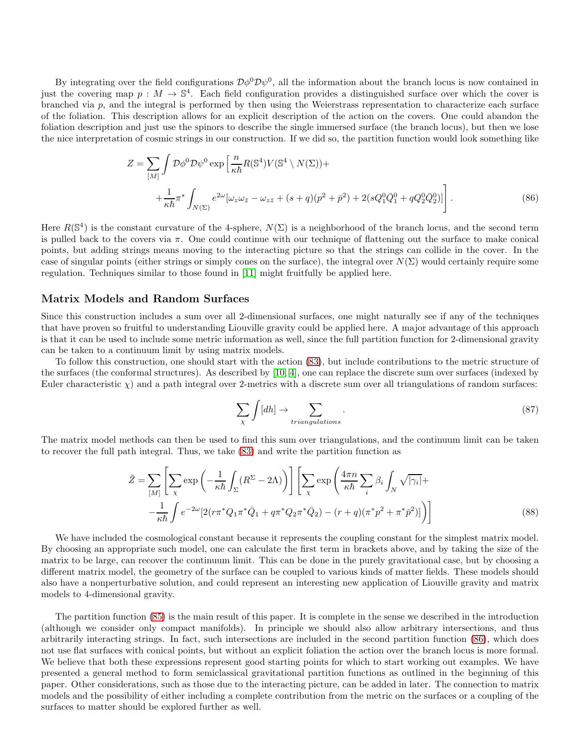By integrating over the field configurations  $\mathcal{D}\phi^0 \mathcal{D}\psi^0$ , all the information about the branch locus is now contained in just the covering map  $p : M \to \mathbb{S}^4$ . Each field configuration provides a distinguished surface over which the cover is branched via  $p$ , and the integral is performed by then using the Weierstrass representation to characterize each surface of the foliation. This description allows for an explicit description of the action on the covers. One could abandon the foliation description and just use the spinors to describe the single immersed surface (the branch locus), but then we lose the nice interpretation of cosmic strings in our construction. If we did so, the partition function would look something like

$$
Z = \sum_{[M]} \int \mathcal{D}\phi^0 \mathcal{D}\psi^0 \exp\left[\frac{n}{\kappa \hbar} R(\mathbb{S}^4) V(\mathbb{S}^4 \setminus N(\Sigma)) + \right. \\
\left. + \frac{1}{\kappa \hbar} \pi^* \int_{N(\Sigma)} e^{2\omega} [\omega_z \omega_{\bar{z}} - \omega_{z\bar{z}} + (s+q)(p^2 + \bar{p}^2) + 2(sQ_1^0 \bar{Q}_1^0 + qQ_2^0 \bar{Q}_2^0)] \right].
$$
\n(86)

Here  $R(\mathbb{S}^4)$  is the constant curvature of the 4-sphere,  $N(\Sigma)$  is a neighborhood of the branch locus, and the second term is pulled back to the covers via  $\pi$ . One could continue with our technique of flattening out the surface to make conical points, but adding strings means moving to the interacting picture so that the strings can collide in the cover. In the case of singular points (either strings or simply cones on the surface), the integral over  $N(\Sigma)$  would certainly require some regulation. Techniques similar to those found in [\[11\]](#page-17-4) might fruitfully be applied here.

#### Matrix Models and Random Surfaces

Since this construction includes a sum over all 2-dimensional surfaces, one might naturally see if any of the techniques that have proven so fruitful to understanding Liouville gravity could be applied here. A major advantage of this approach is that it can be used to include some metric information as well, since the full partition function for 2-dimensional gravity can be taken to a continuum limit by using matrix models.

To follow this construction, one should start with the action [\(83\)](#page-12-1), but include contributions to the metric structure of the surfaces (the conformal structures). As described by [\[10,](#page-17-23) [4\]](#page-16-5), one can replace the discrete sum over surfaces (indexed by Euler characteristic  $\chi$ ) and a path integral over 2-metrics with a discrete sum over all triangulations of random surfaces:

<span id="page-13-0"></span>
$$
\sum_{\chi} \int [dh] \to \sum_{triangulations} . \tag{87}
$$

The matrix model methods can then be used to find this sum over triangulations, and the continuum limit can be taken to recover the full path integral. Thus, we take [\(83\)](#page-12-1) and write the partition function as

$$
\tilde{Z} = \sum_{[M]} \left[ \sum_{\chi} \exp\left(-\frac{1}{\kappa \hbar} \int_{\Sigma} (R^{\Sigma} - 2\Lambda)\right) \right] \left[ \sum_{\chi} \exp\left(\frac{4\pi n}{\kappa \hbar} \sum_{i} \beta_{i} \int_{N} \sqrt{|\gamma_{i}|} + \frac{1}{\kappa \hbar} \int_{\epsilon} e^{-2\omega} \left[ 2(r\pi^{*} Q_{1}\pi^{*} \bar{Q}_{1} + q\pi^{*} Q_{2}\pi^{*} \bar{Q}_{2}) - (r+q)(\pi^{*} p^{2} + \pi^{*} \bar{p}^{2}) \right] \right]
$$
\n(88)

We have included the cosmological constant because it represents the coupling constant for the simplest matrix model. By choosing an appropriate such model, one can calculate the first term in brackets above, and by taking the size of the matrix to be large, can recover the continuum limit. This can be done in the purely gravitational case, but by choosing a different matrix model, the geometry of the surface can be coupled to various kinds of matter fields. These models should also have a nonperturbative solution, and could represent an interesting new application of Liouville gravity and matrix models to 4-dimensional gravity.

The partition function [\(85\)](#page-12-2) is the main result of this paper. It is complete in the sense we described in the introduction (although we consider only compact manifolds). In principle we should also allow arbitrary intersections, and thus arbitrarily interacting strings. In fact, such intersections are included in the second partition function [\(86\)](#page-13-0), which does not use flat surfaces with conical points, but without an explicit foliation the action over the branch locus is more formal. We believe that both these expressions represent good starting points for which to start working out examples. We have presented a general method to form semiclassical gravitational partition functions as outlined in the beginning of this paper. Other considerations, such as those due to the interacting picture, can be added in later. The connection to matrix models and the possibility of either including a complete contribution from the metric on the surfaces or a coupling of the surfaces to matter should be explored further as well.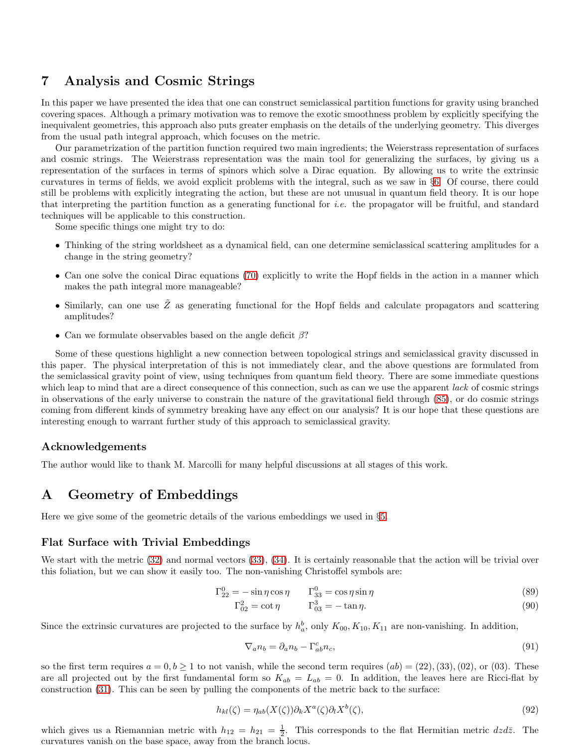## <span id="page-14-1"></span>7 Analysis and Cosmic Strings

In this paper we have presented the idea that one can construct semiclassical partition functions for gravity using branched covering spaces. Although a primary motivation was to remove the exotic smoothness problem by explicitly specifying the inequivalent geometries, this approach also puts greater emphasis on the details of the underlying geometry. This diverges from the usual path integral approach, which focuses on the metric.

Our parametrization of the partition function required two main ingredients; the Weierstrass representation of surfaces and cosmic strings. The Weierstrass representation was the main tool for generalizing the surfaces, by giving us a representation of the surfaces in terms of spinors which solve a Dirac equation. By allowing us to write the extrinsic curvatures in terms of fields, we avoid explicit problems with the integral, such as we saw in §[6.](#page-10-0) Of course, there could still be problems with explicitly integrating the action, but these are not unusual in quantum field theory. It is our hope that interpreting the partition function as a generating functional for *i.e.* the propagator will be fruitful, and standard techniques will be applicable to this construction.

Some specific things one might try to do:

- Thinking of the string worldsheet as a dynamical field, can one determine semiclassical scattering amplitudes for a change in the string geometry?
- Can one solve the conical Dirac equations [\(70\)](#page-11-0) explicitly to write the Hopf fields in the action in a manner which makes the path integral more manageable?
- Similarly, can one use  $\tilde{Z}$  as generating functional for the Hopf fields and calculate propagators and scattering amplitudes?
- Can we formulate observables based on the angle deficit  $\beta$ ?

Some of these questions highlight a new connection between topological strings and semiclassical gravity discussed in this paper. The physical interpretation of this is not immediately clear, and the above questions are formulated from the semiclassical gravity point of view, using techniques from quantum field theory. There are some immediate questions which leap to mind that are a direct consequence of this connection, such as can we use the apparent lack of cosmic strings in observations of the early universe to constrain the nature of the gravitational field through [\(85\)](#page-12-2), or do cosmic strings coming from different kinds of symmetry breaking have any effect on our analysis? It is our hope that these questions are interesting enough to warrant further study of this approach to semiclassical gravity.

#### Acknowledgements

The author would like to thank M. Marcolli for many helpful discussions at all stages of this work.

## <span id="page-14-0"></span>A Geometry of Embeddings

Here we give some of the geometric details of the various embeddings we used in §[5.](#page-5-0)

#### Flat Surface with Trivial Embeddings

We start with the metric [\(32\)](#page-6-0) and normal vectors [\(33\)](#page-6-1), [\(34\)](#page-6-2). It is certainly reasonable that the action will be trivial over this foliation, but we can show it easily too. The non-vanishing Christoffel symbols are:

$$
\Gamma_{22}^{0} = -\sin \eta \cos \eta \qquad \Gamma_{33}^{0} = \cos \eta \sin \eta \tag{89}
$$

$$
\Gamma_{02}^2 = \cot \eta \qquad \Gamma_{03}^3 = -\tan \eta. \tag{90}
$$

Since the extrinsic curvatures are projected to the surface by  $h_a^b$ , only  $K_{00}$ ,  $K_{10}$ ,  $K_{11}$  are non-vanishing. In addition,

$$
\nabla_a n_b = \partial_a n_b - \Gamma^c_{ab} n_c,\tag{91}
$$

so the first term requires  $a = 0, b \ge 1$  to not vanish, while the second term requires  $(ab) = (22), (33), (02),$  or  $(03)$ . These are all projected out by the first fundamental form so  $K_{ab} = L_{ab} = 0$ . In addition, the leaves here are Ricci-flat by construction [\(31\)](#page-6-3). This can be seen by pulling the components of the metric back to the surface:

$$
h_{kl}(\zeta) = \eta_{ab}(X(\zeta))\partial_k X^a(\zeta)\partial_l X^b(\zeta),\tag{92}
$$

which gives us a Riemannian metric with  $h_{12} = h_{21} = \frac{1}{2}$ . This corresponds to the flat Hermitian metric  $dzd\bar{z}$ . The curvatures vanish on the base space, away from the branch locus.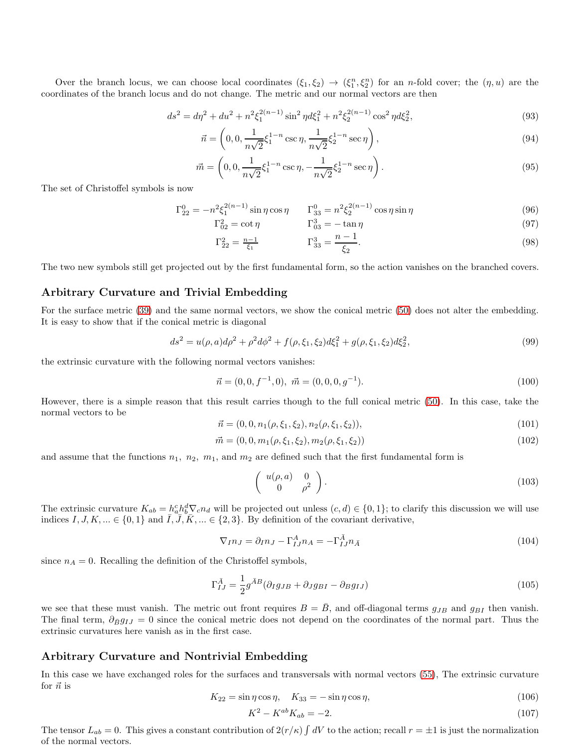Over the branch locus, we can choose local coordinates  $(\xi_1, \xi_2) \rightarrow (\xi_1^n, \xi_2^n)$  for an n-fold cover; the  $(\eta, u)$  are the coordinates of the branch locus and do not change. The metric and our normal vectors are then

$$
ds^{2} = d\eta^{2} + du^{2} + n^{2}\xi_{1}^{2(n-1)}\sin^{2}\eta d\xi_{1}^{2} + n^{2}\xi_{2}^{2(n-1)}\cos^{2}\eta d\xi_{2}^{2},
$$
\n(93)

$$
\vec{n} = \left(0, 0, \frac{1}{n\sqrt{2}}\xi_1^{1-n}\csc\eta, \frac{1}{n\sqrt{2}}\xi_2^{1-n}\sec\eta\right),\tag{94}
$$

$$
\vec{m} = \left(0, 0, \frac{1}{n\sqrt{2}}\xi_1^{1-n}\csc\eta, -\frac{1}{n\sqrt{2}}\xi_2^{1-n}\sec\eta\right). \tag{95}
$$

The set of Christoffel symbols is now

$$
\Gamma_{22}^{0} = -n^2 \xi_1^{2(n-1)} \sin \eta \cos \eta \qquad \Gamma_{33}^{0} = n^2 \xi_2^{2(n-1)} \cos \eta \sin \eta \tag{96}
$$

$$
\Gamma_{02}^2 = \cot \eta \qquad \qquad \Gamma_{03}^3 = -\tan \eta \tag{97}
$$

$$
\Gamma_{22}^2 = \frac{n-1}{\xi_1} \qquad \qquad \Gamma_{33}^3 = \frac{n-1}{\xi_2}.
$$
\n(98)

The two new symbols still get projected out by the first fundamental form, so the action vanishes on the branched covers.

#### Arbitrary Curvature and Trivial Embedding

For the surface metric [\(39\)](#page-7-2) and the same normal vectors, we show the conical metric [\(50\)](#page-8-0) does not alter the embedding. It is easy to show that if the conical metric is diagonal

$$
ds^{2} = u(\rho, a)d\rho^{2} + \rho^{2}d\phi^{2} + f(\rho, \xi_{1}, \xi_{2})d\xi_{1}^{2} + g(\rho, \xi_{1}, \xi_{2})d\xi_{2}^{2},
$$
\n(99)

the extrinsic curvature with the following normal vectors vanishes:

$$
\vec{n} = (0, 0, f^{-1}, 0), \ \vec{m} = (0, 0, 0, g^{-1}). \tag{100}
$$

However, there is a simple reason that this result carries though to the full conical metric [\(50\)](#page-8-0). In this case, take the normal vectors to be

$$
\vec{n} = (0, 0, n_1(\rho, \xi_1, \xi_2), n_2(\rho, \xi_1, \xi_2)),\tag{101}
$$

$$
\vec{m} = (0, 0, m_1(\rho, \xi_1, \xi_2), m_2(\rho, \xi_1, \xi_2))
$$
\n(102)

and assume that the functions  $n_1$ ,  $n_2$ ,  $m_1$ , and  $m_2$  are defined such that the first fundamental form is

$$
\left(\begin{array}{cc} u(\rho, a) & 0\\ 0 & \rho^2 \end{array}\right). \tag{103}
$$

The extrinsic curvature  $K_{ab} = h_a^c h_b^d \nabla_c n_d$  will be projected out unless  $(c, d) \in \{0, 1\}$ ; to clarify this discussion we will use indices  $I, J, K, ... \in \{0, 1\}$  and  $\overline{I}, \overline{J}, \overline{K}, ... \in \{2, 3\}$ . By definition of the covariant derivative,

$$
\nabla_{I} n_{J} = \partial_{I} n_{J} - \Gamma_{IJ}^{A} n_{A} = -\Gamma_{IJ}^{\bar{A}} n_{\bar{A}}
$$
\n(104)

since  $n_A = 0$ . Recalling the definition of the Christoffel symbols,

$$
\Gamma_{IJ}^{\bar{A}} = \frac{1}{2} g^{\bar{A}B} (\partial_I g_{JB} + \partial_J g_{BI} - \partial_B g_{IJ})
$$
\n(105)

we see that these must vanish. The metric out front requires  $B = \bar{B}$ , and off-diagonal terms  $g_{JB}$  and  $g_{BI}$  then vanish. The final term,  $\partial_{\bar{B}} g_{IJ} = 0$  since the conical metric does not depend on the coordinates of the normal part. Thus the extrinsic curvatures here vanish as in the first case.

#### Arbitrary Curvature and Nontrivial Embedding

In this case we have exchanged roles for the surfaces and transversals with normal vectors [\(55\)](#page-9-0), The extrinsic curvature for  $\vec{n}$  is

$$
K_{22} = \sin \eta \cos \eta, \quad K_{33} = -\sin \eta \cos \eta,
$$
\n
$$
(106)
$$

$$
K^2 - K^{ab} K_{ab} = -2.
$$
\n(107)

The tensor  $L_{ab} = 0$ . This gives a constant contribution of  $2(r/\kappa) \int dV$  to the action; recall  $r = \pm 1$  is just the normalization of the normal vectors.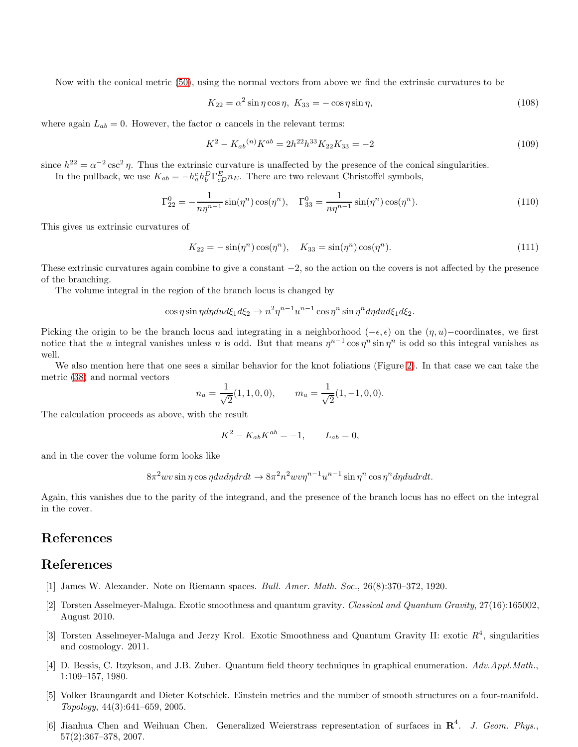Now with the conical metric [\(50\)](#page-8-0), using the normal vectors from above we find the extrinsic curvatures to be

$$
K_{22} = \alpha^2 \sin \eta \cos \eta, \ K_{33} = -\cos \eta \sin \eta,
$$
\n
$$
(108)
$$

where again  $L_{ab} = 0$ . However, the factor  $\alpha$  cancels in the relevant terms:

$$
K^2 - K_{ab}^{(n)} K^{ab} = 2h^{22} h^{33} K_{22} K_{33} = -2
$$
\n(109)

since  $h^{22} = \alpha^{-2} \csc^2 \eta$ . Thus the extrinsic curvature is unaffected by the presence of the conical singularities. In the pullback, we use  $K_{ab} = -h_a^c h_b^D \Gamma_{cD}^E n_E$ . There are two relevant Christoffel symbols,

$$
\Gamma_{22}^{0} = -\frac{1}{n\eta^{n-1}}\sin(\eta^{n})\cos(\eta^{n}), \quad \Gamma_{33}^{0} = \frac{1}{n\eta^{n-1}}\sin(\eta^{n})\cos(\eta^{n}).
$$
\n(110)

This gives us extrinsic curvatures of

$$
K_{22} = -\sin(\eta^n)\cos(\eta^n), \quad K_{33} = \sin(\eta^n)\cos(\eta^n). \tag{111}
$$

These extrinsic curvatures again combine to give a constant  $-2$ , so the action on the covers is not affected by the presence of the branching.

The volume integral in the region of the branch locus is changed by

$$
\cos \eta \sin \eta d\eta du d\xi_1 d\xi_2 \to n^2 \eta^{n-1} u^{n-1} \cos \eta^n \sin \eta^n d\eta du d\xi_1 d\xi_2.
$$

Picking the origin to be the branch locus and integrating in a neighborhood ( $-\epsilon, \epsilon$ ) on the  $(\eta, u)$ –coordinates, we first notice that the u integral vanishes unless n is odd. But that means  $\eta^{n-1}\cos\eta^n\sin\eta^n$  is odd so this integral vanishes as well.

We also mention here that one sees a similar behavior for the knot foliations (Figure [2\)](#page-7-0). In that case we can take the metric [\(38\)](#page-7-3) and normal vectors

$$
n_a = \frac{1}{\sqrt{2}}(1, 1, 0, 0), \qquad m_a = \frac{1}{\sqrt{2}}(1, -1, 0, 0).
$$

The calculation proceeds as above, with the result

$$
K^2 - K_{ab} K^{ab} = -1, \qquad L_{ab} = 0,
$$

and in the cover the volume form looks like

 $8\pi^2 w v \sin \eta \cos \eta du d\eta dr dt \rightarrow 8\pi^2 n^2 w v \eta^{n-1} u^{n-1} \sin \eta^n \cos \eta^n d\eta du dr dt.$ 

Again, this vanishes due to the parity of the integrand, and the presence of the branch locus has no effect on the integral in the cover.

## References

## <span id="page-16-0"></span>References

- <span id="page-16-1"></span>[1] James W. Alexander. Note on Riemann spaces. Bull. Amer. Math. Soc., 26(8):370–372, 1920.
- [2] Torsten Asselmeyer-Maluga. Exotic smoothness and quantum gravity. Classical and Quantum Gravity, 27(16):165002, August 2010.
- <span id="page-16-2"></span>[3] Torsten Asselmeyer-Maluga and Jerzy Krol. Exotic Smoothness and Quantum Gravity II: exotic  $R<sup>4</sup>$ , singularities and cosmology. 2011.
- <span id="page-16-5"></span>[4] D. Bessis, C. Itzykson, and J.B. Zuber. Quantum field theory techniques in graphical enumeration. Adv.Appl.Math., 1:109–157, 1980.
- <span id="page-16-3"></span>[5] Volker Braungardt and Dieter Kotschick. Einstein metrics and the number of smooth structures on a four-manifold. Topology, 44(3):641–659, 2005.
- <span id="page-16-4"></span>[6] Jianhua Chen and Weihuan Chen. Generalized Weierstrass representation of surfaces in  $\mathbb{R}^4$ . J. Geom. Phys., 57(2):367–378, 2007.